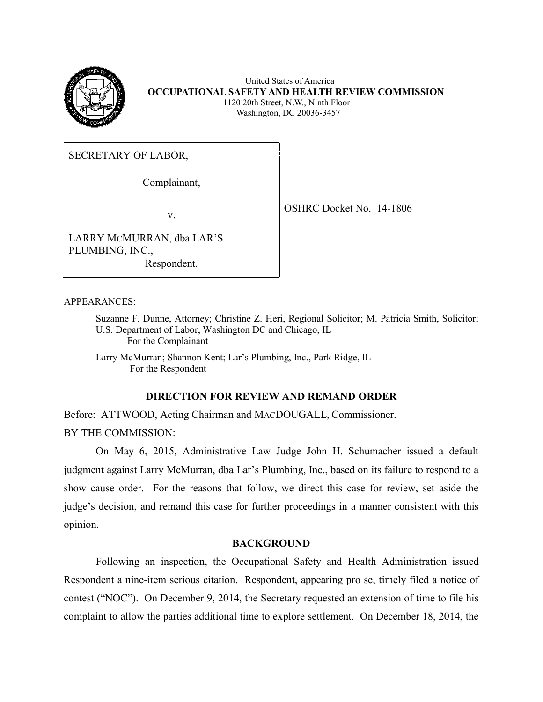

 United States of America **OCCUPATIONAL SAFETY AND HEALTH REVIEW COMMISSION** 1120 20th Street, N.W., Ninth Floor Washington, DC 20036-3457

SECRETARY OF LABOR,

Complainant,

v.

OSHRC Docket No. 14-1806

LARRY MCMURRAN, dba LAR'S PLUMBING, INC., Respondent.

APPEARANCES:

Suzanne F. Dunne, Attorney; Christine Z. Heri, Regional Solicitor; M. Patricia Smith, Solicitor; U.S. Department of Labor, Washington DC and Chicago, IL For the Complainant

Larry McMurran; Shannon Kent; Lar's Plumbing, Inc., Park Ridge, IL For the Respondent

### **DIRECTION FOR REVIEW AND REMAND ORDER**

Before: ATTWOOD, Acting Chairman and MACDOUGALL, Commissioner. BY THE COMMISSION:

On May 6, 2015, Administrative Law Judge John H. Schumacher issued a default judgment against Larry McMurran, dba Lar's Plumbing, Inc., based on its failure to respond to a show cause order. For the reasons that follow, we direct this case for review, set aside the judge's decision, and remand this case for further proceedings in a manner consistent with this opinion.

#### **BACKGROUND**

Following an inspection, the Occupational Safety and Health Administration issued Respondent a nine-item serious citation. Respondent, appearing pro se, timely filed a notice of contest ("NOC"). On December 9, 2014, the Secretary requested an extension of time to file his complaint to allow the parties additional time to explore settlement. On December 18, 2014, the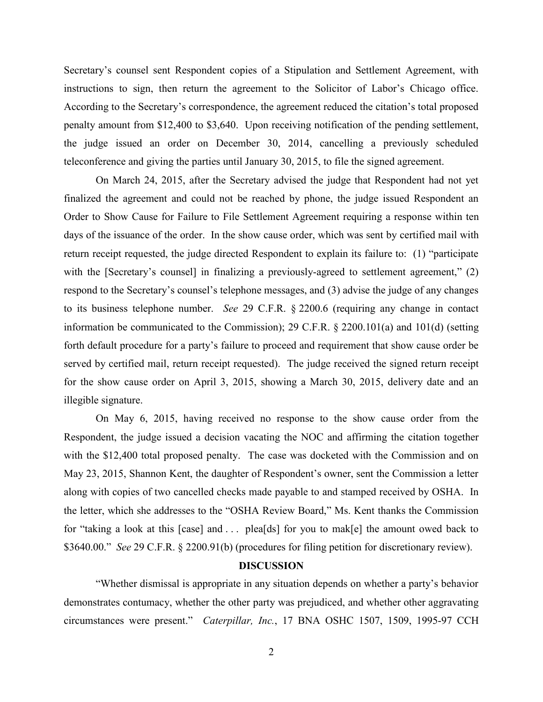Secretary's counsel sent Respondent copies of a Stipulation and Settlement Agreement, with instructions to sign, then return the agreement to the Solicitor of Labor's Chicago office. According to the Secretary's correspondence, the agreement reduced the citation's total proposed penalty amount from \$12,400 to \$3,640. Upon receiving notification of the pending settlement, the judge issued an order on December 30, 2014, cancelling a previously scheduled teleconference and giving the parties until January 30, 2015, to file the signed agreement.

On March 24, 2015, after the Secretary advised the judge that Respondent had not yet finalized the agreement and could not be reached by phone, the judge issued Respondent an Order to Show Cause for Failure to File Settlement Agreement requiring a response within ten days of the issuance of the order. In the show cause order, which was sent by certified mail with return receipt requested, the judge directed Respondent to explain its failure to: (1) "participate with the [Secretary's counsel] in finalizing a previously-agreed to settlement agreement," (2) respond to the Secretary's counsel's telephone messages, and (3) advise the judge of any changes to its business telephone number. *See* 29 C.F.R. § 2200.6 (requiring any change in contact information be communicated to the Commission); 29 C.F.R. § 2200.101(a) and 101(d) (setting forth default procedure for a party's failure to proceed and requirement that show cause order be served by certified mail, return receipt requested). The judge received the signed return receipt for the show cause order on April 3, 2015, showing a March 30, 2015, delivery date and an illegible signature.

On May 6, 2015, having received no response to the show cause order from the Respondent, the judge issued a decision vacating the NOC and affirming the citation together with the \$12,400 total proposed penalty. The case was docketed with the Commission and on May 23, 2015, Shannon Kent, the daughter of Respondent's owner, sent the Commission a letter along with copies of two cancelled checks made payable to and stamped received by OSHA. In the letter, which she addresses to the "OSHA Review Board," Ms. Kent thanks the Commission for "taking a look at this [case] and . . . plea[ds] for you to mak[e] the amount owed back to \$3640.00." *See* 29 C.F.R. § 2200.91(b) (procedures for filing petition for discretionary review).

#### **DISCUSSION**

"Whether dismissal is appropriate in any situation depends on whether a party's behavior demonstrates contumacy, whether the other party was prejudiced, and whether other aggravating circumstances were present." *Caterpillar, Inc.*, 17 BNA OSHC 1507, 1509, 1995-97 CCH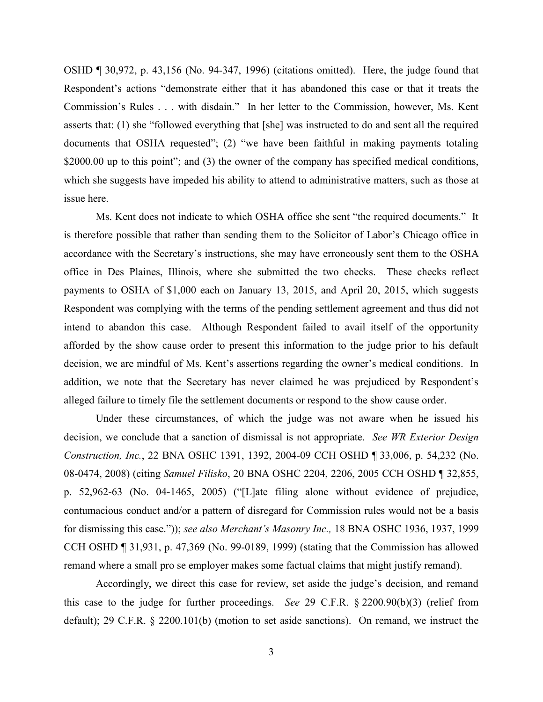OSHD ¶ 30,972, p. 43,156 (No. 94-347, 1996) (citations omitted). Here, the judge found that Respondent's actions "demonstrate either that it has abandoned this case or that it treats the Commission's Rules . . . with disdain." In her letter to the Commission, however, Ms. Kent asserts that: (1) she "followed everything that [she] was instructed to do and sent all the required documents that OSHA requested"; (2) "we have been faithful in making payments totaling \$2000.00 up to this point"; and (3) the owner of the company has specified medical conditions, which she suggests have impeded his ability to attend to administrative matters, such as those at issue here.

Ms. Kent does not indicate to which OSHA office she sent "the required documents." It is therefore possible that rather than sending them to the Solicitor of Labor's Chicago office in accordance with the Secretary's instructions, she may have erroneously sent them to the OSHA office in Des Plaines, Illinois, where she submitted the two checks. These checks reflect payments to OSHA of \$1,000 each on January 13, 2015, and April 20, 2015, which suggests Respondent was complying with the terms of the pending settlement agreement and thus did not intend to abandon this case. Although Respondent failed to avail itself of the opportunity afforded by the show cause order to present this information to the judge prior to his default decision, we are mindful of Ms. Kent's assertions regarding the owner's medical conditions. In addition, we note that the Secretary has never claimed he was prejudiced by Respondent's alleged failure to timely file the settlement documents or respond to the show cause order.

Under these circumstances, of which the judge was not aware when he issued his decision, we conclude that a sanction of dismissal is not appropriate. *See WR Exterior Design Construction, Inc.*, 22 BNA OSHC 1391, 1392, 2004-09 CCH OSHD ¶ 33,006, p. 54,232 (No. 08-0474, 2008) (citing *Samuel Filisko*, 20 BNA OSHC 2204, 2206, 2005 CCH OSHD ¶ 32,855, p. 52,962-63 (No. 04-1465, 2005) ("[L]ate filing alone without evidence of prejudice, contumacious conduct and/or a pattern of disregard for Commission rules would not be a basis for dismissing this case.")); *see also Merchant's Masonry Inc.,* 18 BNA OSHC 1936, 1937, 1999 CCH OSHD ¶ 31,931, p. 47,369 (No. 99-0189, 1999) (stating that the Commission has allowed remand where a small pro se employer makes some factual claims that might justify remand).

Accordingly, we direct this case for review, set aside the judge's decision, and remand this case to the judge for further proceedings. *See* 29 C.F.R. § 2200.90(b)(3) (relief from default); 29 C.F.R. § 2200.101(b) (motion to set aside sanctions). On remand, we instruct the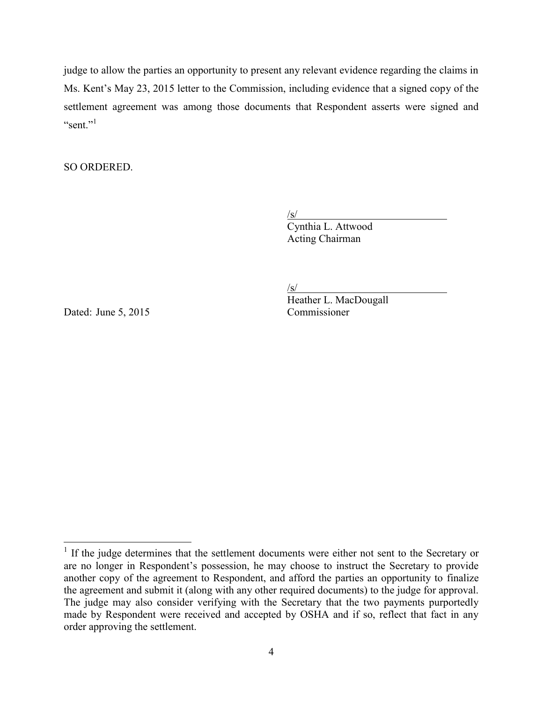judge to allow the parties an opportunity to present any relevant evidence regarding the claims in Ms. Kent's May 23, 2015 letter to the Commission, including evidence that a signed copy of the settlement agreement was among those documents that Respondent asserts were signed and "sent $"$ <sup>1</sup>

SO ORDERED.

 $\sqrt{s}$ /s/

Cynthia L. Attwood Acting Chairman

Dated: June 5, 2015 Commissioner

/s/ Heather L. MacDougall

<sup>&</sup>lt;sup>1</sup> If the judge determines that the settlement documents were either not sent to the Secretary or are no longer in Respondent's possession, he may choose to instruct the Secretary to provide another copy of the agreement to Respondent, and afford the parties an opportunity to finalize the agreement and submit it (along with any other required documents) to the judge for approval. The judge may also consider verifying with the Secretary that the two payments purportedly made by Respondent were received and accepted by OSHA and if so, reflect that fact in any order approving the settlement.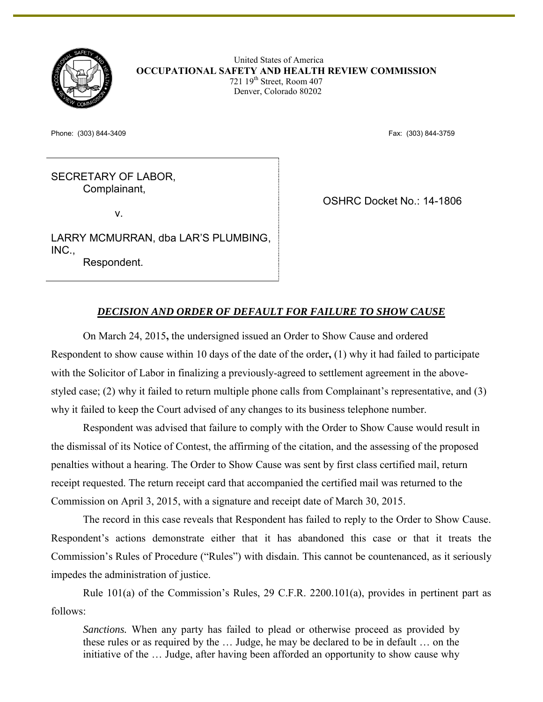

 United States of America **OCCUPATIONAL SAFETY AND HEALTH REVIEW COMMISSION** 721  $19<sup>th</sup>$  Street, Room 407 Denver, Colorado 80202

Phone: (303) 844-3409 Fax: (303) 844-3759

# SECRETARY OF LABOR, Complainant,

v.

OSHRC Docket No.: 14-1806

LARRY MCMURRAN, dba LAR'S PLUMBING, INC., Respondent.

*DECISION AND ORDER OF DEFAULT FOR FAILURE TO SHOW CAUSE* 

On March 24, 2015**,** the undersigned issued an Order to Show Cause and ordered Respondent to show cause within 10 days of the date of the order**,** (1) why it had failed to participate with the Solicitor of Labor in finalizing a previously-agreed to settlement agreement in the abovestyled case; (2) why it failed to return multiple phone calls from Complainant's representative, and (3) why it failed to keep the Court advised of any changes to its business telephone number.

Respondent was advised that failure to comply with the Order to Show Cause would result in the dismissal of its Notice of Contest, the affirming of the citation, and the assessing of the proposed penalties without a hearing. The Order to Show Cause was sent by first class certified mail, return receipt requested. The return receipt card that accompanied the certified mail was returned to the Commission on April 3, 2015, with a signature and receipt date of March 30, 2015.

The record in this case reveals that Respondent has failed to reply to the Order to Show Cause. Respondent's actions demonstrate either that it has abandoned this case or that it treats the Commission's Rules of Procedure ("Rules") with disdain. This cannot be countenanced, as it seriously impedes the administration of justice.

Rule 101(a) of the Commission's Rules, 29 C.F.R. 2200.101(a), provides in pertinent part as follows:

*Sanctions.* When any party has failed to plead or otherwise proceed as provided by these rules or as required by the … Judge, he may be declared to be in default … on the initiative of the … Judge, after having been afforded an opportunity to show cause why